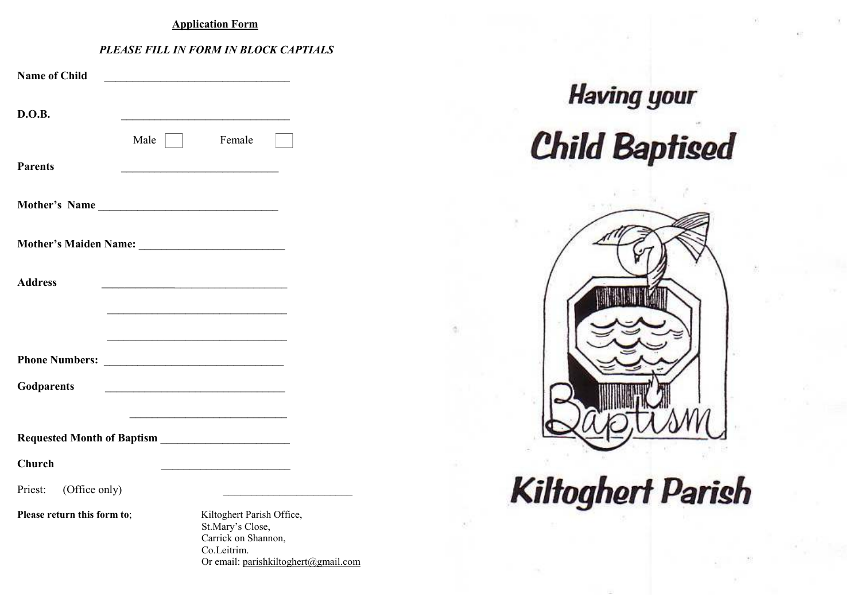#### **Application Form**

### *PLEASE FILL IN FORM IN BLOCK CAPTIALS*

| <b>Name of Child</b>        |                                                                                                                             |
|-----------------------------|-----------------------------------------------------------------------------------------------------------------------------|
| D.O.B.                      |                                                                                                                             |
|                             | Female<br>Male                                                                                                              |
| <b>Parents</b>              |                                                                                                                             |
|                             | Mother's Name                                                                                                               |
|                             |                                                                                                                             |
| <b>Address</b>              | <u> 1980 - Johann John Stein, markin fan it ferskearre fan it ferskearre fan it ferskearre fan it ferskearre fan</u>        |
|                             |                                                                                                                             |
|                             | <u> 1989 - Johann John Stone, mars eta biztanleria (h. 1989).</u>                                                           |
| Godparents                  | <u> 2000 - Jan James James Jan James James James James James James James James James James James James James James</u>      |
|                             |                                                                                                                             |
| Church                      |                                                                                                                             |
| (Office only)<br>Priest:    |                                                                                                                             |
| Please return this form to; | Kiltoghert Parish Office,<br>St.Mary's Close,<br>Carrick on Shannon,<br>Co.Leitrim.<br>Or email: parishkiltoghert@gmail.com |

# **Having your Child Baptised**



**Kiltoghert Parish**